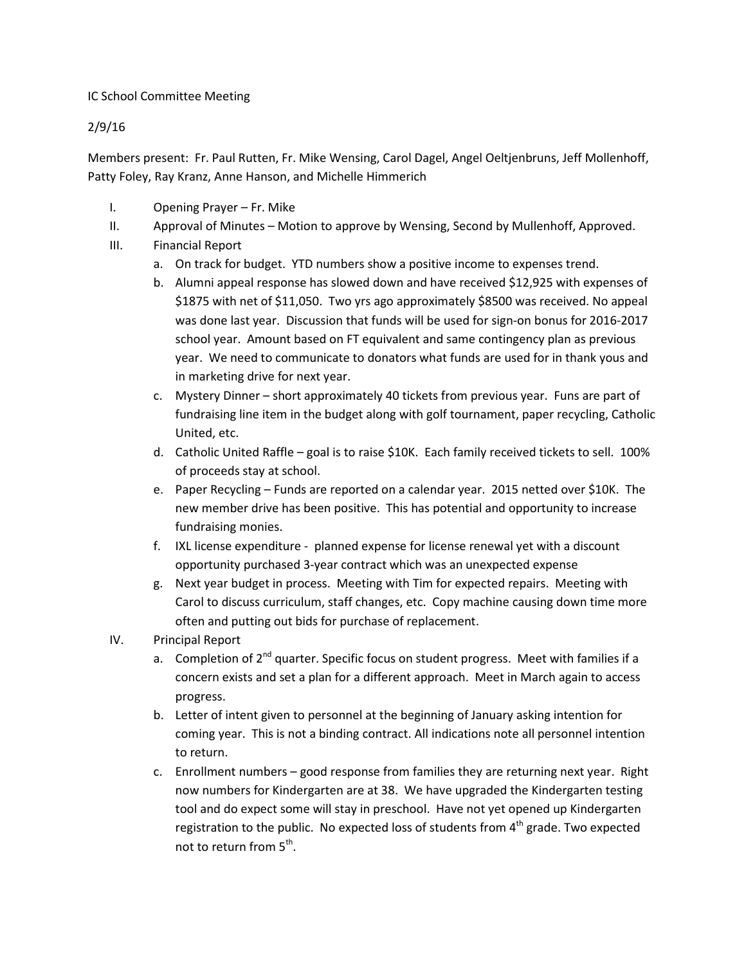## IC School Committee Meeting

## 2/9/16

Members present: Fr. Paul Rutten, Fr. Mike Wensing, Carol Dagel, Angel Oeltjenbruns, Jeff Mollenhoff, Patty Foley, Ray Kranz, Anne Hanson, and Michelle Himmerich

- I. Opening Prayer Fr. Mike
- II. Approval of Minutes Motion to approve by Wensing, Second by Mullenhoff, Approved.
- III. Financial Report
	- a. On track for budget. YTD numbers show a positive income to expenses trend.
	- b. Alumni appeal response has slowed down and have received \$12,925 with expenses of \$1875 with net of \$11,050. Two yrs ago approximately \$8500 was received. No appeal was done last year. Discussion that funds will be used for sign-on bonus for 2016-2017 school year. Amount based on FT equivalent and same contingency plan as previous year. We need to communicate to donators what funds are used for in thank yous and in marketing drive for next year.
	- c. Mystery Dinner short approximately 40 tickets from previous year. Funs are part of fundraising line item in the budget along with golf tournament, paper recycling, Catholic United, etc.
	- d. Catholic United Raffle goal is to raise \$10K. Each family received tickets to sell. 100% of proceeds stay at school.
	- e. Paper Recycling Funds are reported on a calendar year. 2015 netted over \$10K. The new member drive has been positive. This has potential and opportunity to increase fundraising monies.
	- f. IXL license expenditure planned expense for license renewal yet with a discount opportunity purchased 3-year contract which was an unexpected expense
	- g. Next year budget in process. Meeting with Tim for expected repairs. Meeting with Carol to discuss curriculum, staff changes, etc. Copy machine causing down time more often and putting out bids for purchase of replacement.
- IV. Principal Report
	- a. Completion of  $2<sup>nd</sup>$  quarter. Specific focus on student progress. Meet with families if a concern exists and set a plan for a different approach. Meet in March again to access progress.
	- b. Letter of intent given to personnel at the beginning of January asking intention for coming year. This is not a binding contract. All indications note all personnel intention to return.
	- c. Enrollment numbers good response from families they are returning next year. Right now numbers for Kindergarten are at 38. We have upgraded the Kindergarten testing tool and do expect some will stay in preschool. Have not yet opened up Kindergarten registration to the public. No expected loss of students from  $4<sup>th</sup>$  grade. Two expected not to return from 5<sup>th</sup>.